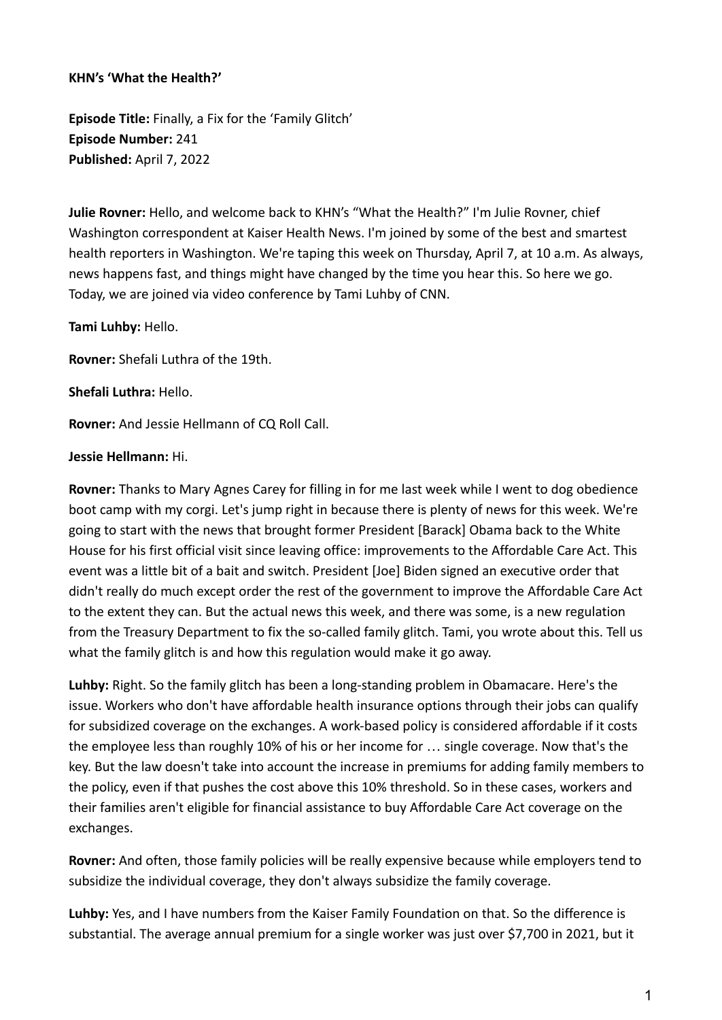## **KHN's 'What the Health?'**

**Episode Title:** Finally, a Fix for the 'Family Glitch' **Episode Number:** 241 **Published:** April 7, 2022

**Julie Rovner:** Hello, and welcome back to KHN's "What the Health?" I'm Julie Rovner, chief Washington correspondent at Kaiser Health News. I'm joined by some of the best and smartest health reporters in Washington. We're taping this week on Thursday, April 7, at 10 a.m. As always, news happens fast, and things might have changed by the time you hear this. So here we go. Today, we are joined via video conference by Tami Luhby of CNN.

**Tami Luhby:** Hello.

**Rovner:** Shefali Luthra of the 19th.

**Shefali Luthra:** Hello.

**Rovner:** And Jessie Hellmann of CQ Roll Call.

## **Jessie Hellmann:** Hi.

**Rovner:** Thanks to Mary Agnes Carey for filling in for me last week while I went to dog obedience boot camp with my corgi. Let's jump right in because there is plenty of news for this week. We're going to start with the news that brought former President [Barack] Obama back to the White House for his first official visit since leaving office: improvements to the Affordable Care Act. This event was a little bit of a bait and switch. President [Joe] Biden signed an executive order that didn't really do much except order the rest of the government to improve the Affordable Care Act to the extent they can. But the actual news this week, and there was some, is a new regulation from the Treasury Department to fix the so-called family glitch. Tami, you wrote about this. Tell us what the family glitch is and how this regulation would make it go away.

**Luhby:** Right. So the family glitch has been a long-standing problem in Obamacare. Here's the issue. Workers who don't have affordable health insurance options through their jobs can qualify for subsidized coverage on the exchanges. A work-based policy is considered affordable if it costs the employee less than roughly 10% of his or her income for … single coverage. Now that's the key. But the law doesn't take into account the increase in premiums for adding family members to the policy, even if that pushes the cost above this 10% threshold. So in these cases, workers and their families aren't eligible for financial assistance to buy Affordable Care Act coverage on the exchanges.

**Rovner:** And often, those family policies will be really expensive because while employers tend to subsidize the individual coverage, they don't always subsidize the family coverage.

**Luhby:** Yes, and I have numbers from the Kaiser Family Foundation on that. So the difference is substantial. The average annual premium for a single worker was just over \$7,700 in 2021, but it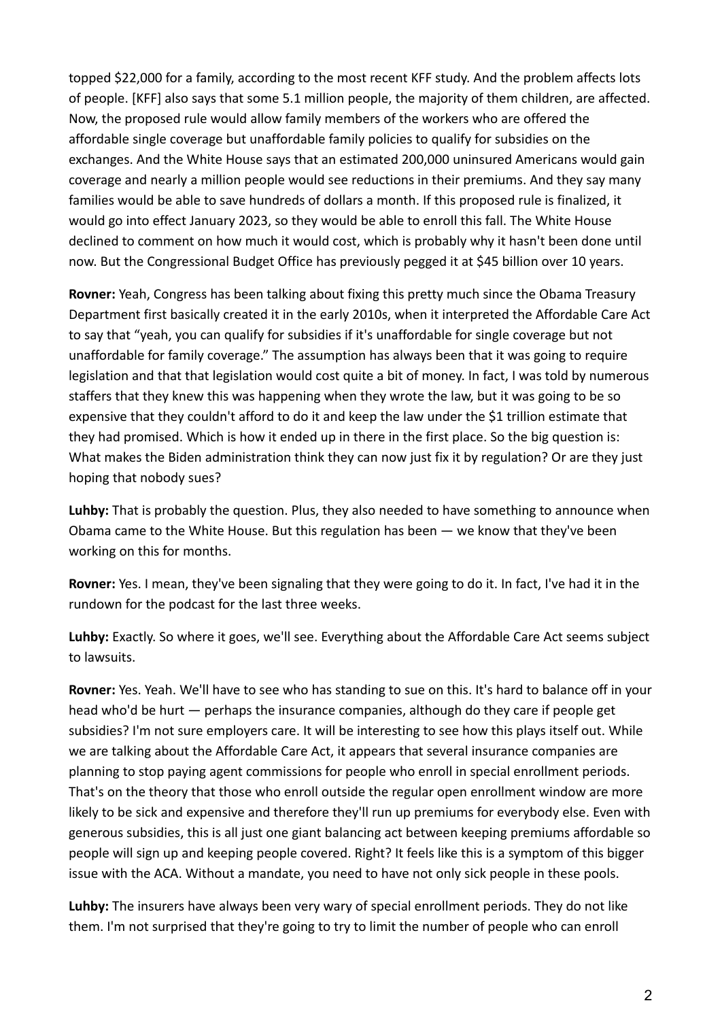topped \$22,000 for a family, according to the most recent KFF study. And the problem affects lots of people. [KFF] also says that some 5.1 million people, the majority of them children, are affected. Now, the proposed rule would allow family members of the workers who are offered the affordable single coverage but unaffordable family policies to qualify for subsidies on the exchanges. And the White House says that an estimated 200,000 uninsured Americans would gain coverage and nearly a million people would see reductions in their premiums. And they say many families would be able to save hundreds of dollars a month. If this proposed rule is finalized, it would go into effect January 2023, so they would be able to enroll this fall. The White House declined to comment on how much it would cost, which is probably why it hasn't been done until now. But the Congressional Budget Office has previously pegged it at \$45 billion over 10 years.

**Rovner:** Yeah, Congress has been talking about fixing this pretty much since the Obama Treasury Department first basically created it in the early 2010s, when it interpreted the Affordable Care Act to say that "yeah, you can qualify for subsidies if it's unaffordable for single coverage but not unaffordable for family coverage." The assumption has always been that it was going to require legislation and that that legislation would cost quite a bit of money. In fact, I was told by numerous staffers that they knew this was happening when they wrote the law, but it was going to be so expensive that they couldn't afford to do it and keep the law under the \$1 trillion estimate that they had promised. Which is how it ended up in there in the first place. So the big question is: What makes the Biden administration think they can now just fix it by regulation? Or are they just hoping that nobody sues?

**Luhby:** That is probably the question. Plus, they also needed to have something to announce when Obama came to the White House. But this regulation has been — we know that they've been working on this for months.

**Rovner:** Yes. I mean, they've been signaling that they were going to do it. In fact, I've had it in the rundown for the podcast for the last three weeks.

**Luhby:** Exactly. So where it goes, we'll see. Everything about the Affordable Care Act seems subject to lawsuits.

**Rovner:** Yes. Yeah. We'll have to see who has standing to sue on this. It's hard to balance off in your head who'd be hurt — perhaps the insurance companies, although do they care if people get subsidies? I'm not sure employers care. It will be interesting to see how this plays itself out. While we are talking about the Affordable Care Act, it appears that several insurance companies are planning to stop paying agent commissions for people who enroll in special enrollment periods. That's on the theory that those who enroll outside the regular open enrollment window are more likely to be sick and expensive and therefore they'll run up premiums for everybody else. Even with generous subsidies, this is all just one giant balancing act between keeping premiums affordable so people will sign up and keeping people covered. Right? It feels like this is a symptom of this bigger issue with the ACA. Without a mandate, you need to have not only sick people in these pools.

**Luhby:** The insurers have always been very wary of special enrollment periods. They do not like them. I'm not surprised that they're going to try to limit the number of people who can enroll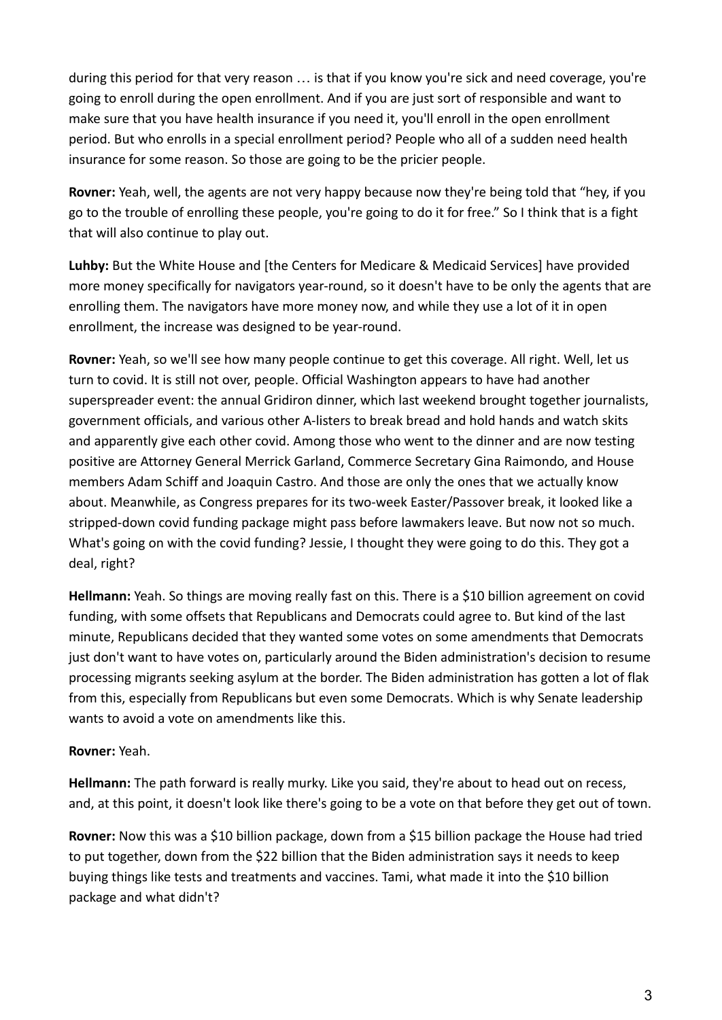during this period for that very reason … is that if you know you're sick and need coverage, you're going to enroll during the open enrollment. And if you are just sort of responsible and want to make sure that you have health insurance if you need it, you'll enroll in the open enrollment period. But who enrolls in a special enrollment period? People who all of a sudden need health insurance for some reason. So those are going to be the pricier people.

**Rovner:** Yeah, well, the agents are not very happy because now they're being told that "hey, if you go to the trouble of enrolling these people, you're going to do it for free." So I think that is a fight that will also continue to play out.

**Luhby:** But the White House and [the Centers for Medicare & Medicaid Services] have provided more money specifically for navigators year-round, so it doesn't have to be only the agents that are enrolling them. The navigators have more money now, and while they use a lot of it in open enrollment, the increase was designed to be year-round.

**Rovner:** Yeah, so we'll see how many people continue to get this coverage. All right. Well, let us turn to covid. It is still not over, people. Official Washington appears to have had another superspreader event: the annual Gridiron dinner, which last weekend brought together journalists, government officials, and various other A-listers to break bread and hold hands and watch skits and apparently give each other covid. Among those who went to the dinner and are now testing positive are Attorney General Merrick Garland, Commerce Secretary Gina Raimondo, and House members Adam Schiff and Joaquin Castro. And those are only the ones that we actually know about. Meanwhile, as Congress prepares for its two-week Easter/Passover break, it looked like a stripped-down covid funding package might pass before lawmakers leave. But now not so much. What's going on with the covid funding? Jessie, I thought they were going to do this. They got a deal, right?

**Hellmann:** Yeah. So things are moving really fast on this. There is a \$10 billion agreement on covid funding, with some offsets that Republicans and Democrats could agree to. But kind of the last minute, Republicans decided that they wanted some votes on some amendments that Democrats just don't want to have votes on, particularly around the Biden administration's decision to resume processing migrants seeking asylum at the border. The Biden administration has gotten a lot of flak from this, especially from Republicans but even some Democrats. Which is why Senate leadership wants to avoid a vote on amendments like this.

## **Rovner:** Yeah.

**Hellmann:** The path forward is really murky. Like you said, they're about to head out on recess, and, at this point, it doesn't look like there's going to be a vote on that before they get out of town.

**Rovner:** Now this was a \$10 billion package, down from a \$15 billion package the House had tried to put together, down from the \$22 billion that the Biden administration says it needs to keep buying things like tests and treatments and vaccines. Tami, what made it into the \$10 billion package and what didn't?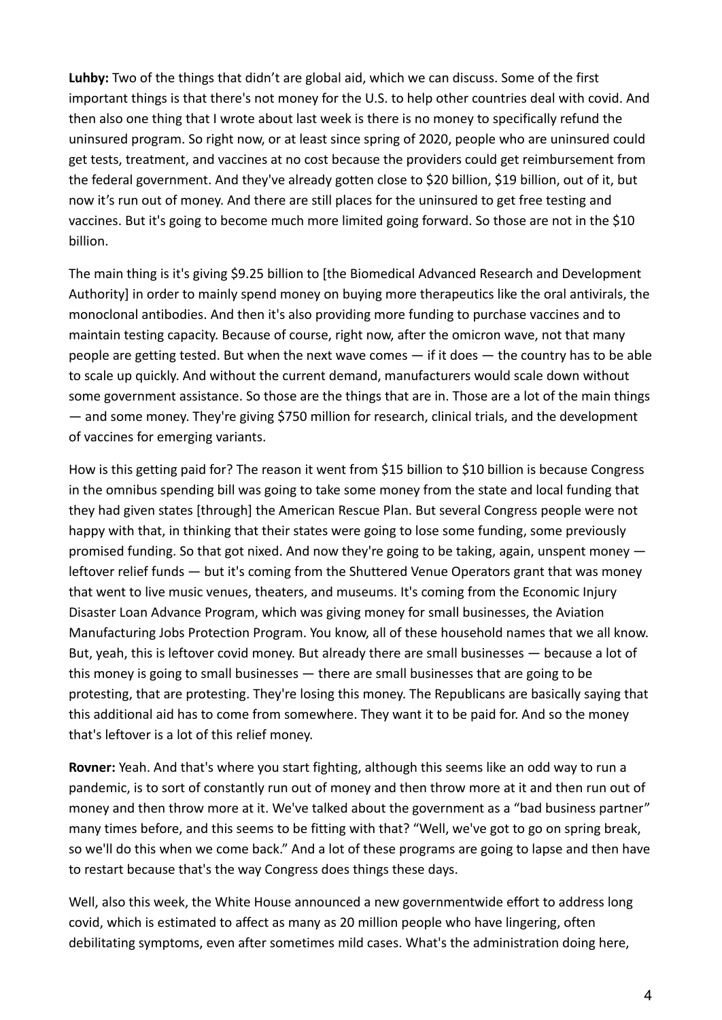**Luhby:** Two of the things that didn't are global aid, which we can discuss. Some of the first important things is that there's not money for the U.S. to help other countries deal with covid. And then also one thing that I wrote about last week is there is no money to specifically refund the uninsured program. So right now, or at least since spring of 2020, people who are uninsured could get tests, treatment, and vaccines at no cost because the providers could get reimbursement from the federal government. And they've already gotten close to \$20 billion, \$19 billion, out of it, but now it's run out of money. And there are still places for the uninsured to get free testing and vaccines. But it's going to become much more limited going forward. So those are not in the \$10 billion.

The main thing is it's giving \$9.25 billion to [the Biomedical Advanced Research and Development Authority] in order to mainly spend money on buying more therapeutics like the oral antivirals, the monoclonal antibodies. And then it's also providing more funding to purchase vaccines and to maintain testing capacity. Because of course, right now, after the omicron wave, not that many people are getting tested. But when the next wave comes  $-$  if it does  $-$  the country has to be able to scale up quickly. And without the current demand, manufacturers would scale down without some government assistance. So those are the things that are in. Those are a lot of the main things — and some money. They're giving \$750 million for research, clinical trials, and the development of vaccines for emerging variants.

How is this getting paid for? The reason it went from \$15 billion to \$10 billion is because Congress in the omnibus spending bill was going to take some money from the state and local funding that they had given states [through] the American Rescue Plan. But several Congress people were not happy with that, in thinking that their states were going to lose some funding, some previously promised funding. So that got nixed. And now they're going to be taking, again, unspent money leftover relief funds — but it's coming from the Shuttered Venue Operators grant that was money that went to live music venues, theaters, and museums. It's coming from the Economic Injury Disaster Loan Advance Program, which was giving money for small businesses, the Aviation Manufacturing Jobs Protection Program. You know, all of these household names that we all know. But, yeah, this is leftover covid money. But already there are small businesses — because a lot of this money is going to small businesses — there are small businesses that are going to be protesting, that are protesting. They're losing this money. The Republicans are basically saying that this additional aid has to come from somewhere. They want it to be paid for. And so the money that's leftover is a lot of this relief money.

**Rovner:** Yeah. And that's where you start fighting, although this seems like an odd way to run a pandemic, is to sort of constantly run out of money and then throw more at it and then run out of money and then throw more at it. We've talked about the government as a "bad business partner" many times before, and this seems to be fitting with that? "Well, we've got to go on spring break, so we'll do this when we come back." And a lot of these programs are going to lapse and then have to restart because that's the way Congress does things these days.

Well, also this week, the White House announced a new governmentwide effort to address long covid, which is estimated to affect as many as 20 million people who have lingering, often debilitating symptoms, even after sometimes mild cases. What's the administration doing here,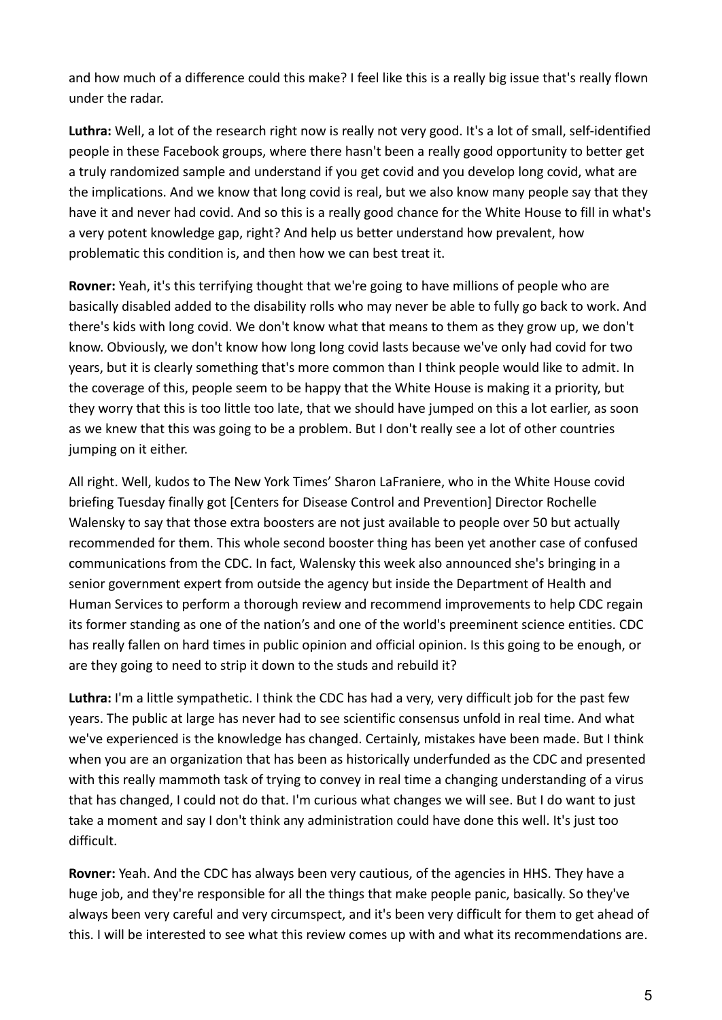and how much of a difference could this make? I feel like this is a really big issue that's really flown under the radar.

**Luthra:** Well, a lot of the research right now is really not very good. It's a lot of small, self-identified people in these Facebook groups, where there hasn't been a really good opportunity to better get a truly randomized sample and understand if you get covid and you develop long covid, what are the implications. And we know that long covid is real, but we also know many people say that they have it and never had covid. And so this is a really good chance for the White House to fill in what's a very potent knowledge gap, right? And help us better understand how prevalent, how problematic this condition is, and then how we can best treat it.

**Rovner:** Yeah, it's this terrifying thought that we're going to have millions of people who are basically disabled added to the disability rolls who may never be able to fully go back to work. And there's kids with long covid. We don't know what that means to them as they grow up, we don't know. Obviously, we don't know how long long covid lasts because we've only had covid for two years, but it is clearly something that's more common than I think people would like to admit. In the coverage of this, people seem to be happy that the White House is making it a priority, but they worry that this is too little too late, that we should have jumped on this a lot earlier, as soon as we knew that this was going to be a problem. But I don't really see a lot of other countries jumping on it either.

All right. Well, kudos to The New York Times' Sharon LaFraniere, who in the White House covid briefing Tuesday finally got [Centers for Disease Control and Prevention] Director Rochelle Walensky to say that those extra boosters are not just available to people over 50 but actually recommended for them. This whole second booster thing has been yet another case of confused communications from the CDC. In fact, Walensky this week also announced she's bringing in a senior government expert from outside the agency but inside the Department of Health and Human Services to perform a thorough review and recommend improvements to help CDC regain its former standing as one of the nation's and one of the world's preeminent science entities. CDC has really fallen on hard times in public opinion and official opinion. Is this going to be enough, or are they going to need to strip it down to the studs and rebuild it?

**Luthra:** I'm a little sympathetic. I think the CDC has had a very, very difficult job for the past few years. The public at large has never had to see scientific consensus unfold in real time. And what we've experienced is the knowledge has changed. Certainly, mistakes have been made. But I think when you are an organization that has been as historically underfunded as the CDC and presented with this really mammoth task of trying to convey in real time a changing understanding of a virus that has changed, I could not do that. I'm curious what changes we will see. But I do want to just take a moment and say I don't think any administration could have done this well. It's just too difficult.

**Rovner:** Yeah. And the CDC has always been very cautious, of the agencies in HHS. They have a huge job, and they're responsible for all the things that make people panic, basically. So they've always been very careful and very circumspect, and it's been very difficult for them to get ahead of this. I will be interested to see what this review comes up with and what its recommendations are.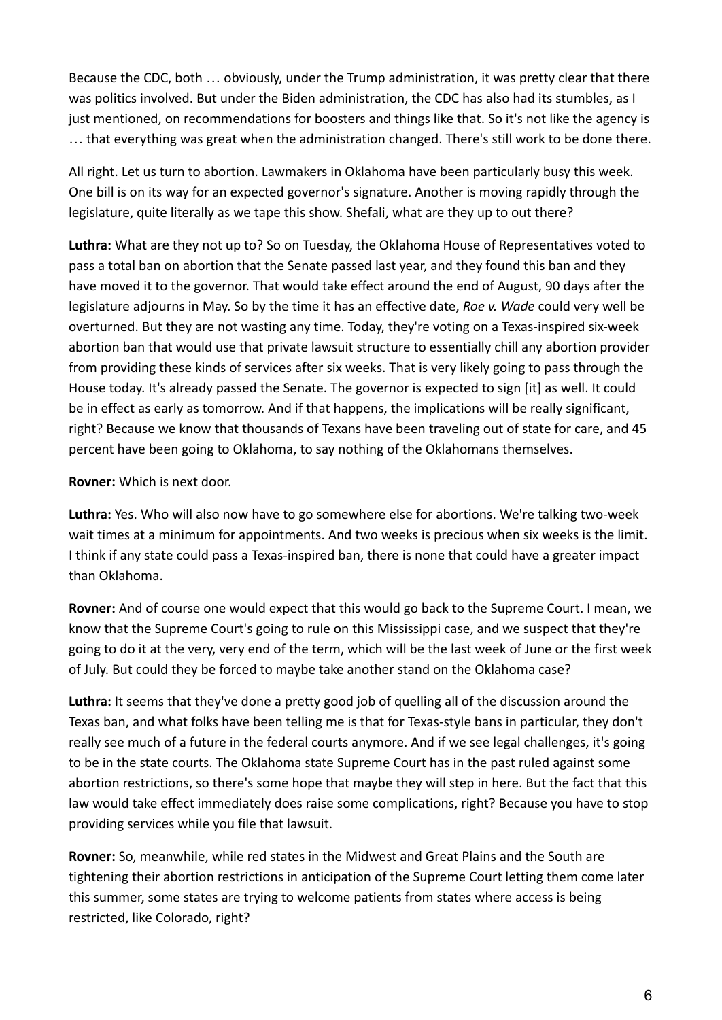Because the CDC, both … obviously, under the Trump administration, it was pretty clear that there was politics involved. But under the Biden administration, the CDC has also had its stumbles, as I just mentioned, on recommendations for boosters and things like that. So it's not like the agency is … that everything was great when the administration changed. There's still work to be done there.

All right. Let us turn to abortion. Lawmakers in Oklahoma have been particularly busy this week. One bill is on its way for an expected governor's signature. Another is moving rapidly through the legislature, quite literally as we tape this show. Shefali, what are they up to out there?

**Luthra:** What are they not up to? So on Tuesday, the Oklahoma House of Representatives voted to pass a total ban on abortion that the Senate passed last year, and they found this ban and they have moved it to the governor. That would take effect around the end of August, 90 days after the legislature adjourns in May. So by the time it has an effective date, *Roe v. Wade* could very well be overturned. But they are not wasting any time. Today, they're voting on a Texas-inspired six-week abortion ban that would use that private lawsuit structure to essentially chill any abortion provider from providing these kinds of services after six weeks. That is very likely going to pass through the House today. It's already passed the Senate. The governor is expected to sign [it] as well. It could be in effect as early as tomorrow. And if that happens, the implications will be really significant, right? Because we know that thousands of Texans have been traveling out of state for care, and 45 percent have been going to Oklahoma, to say nothing of the Oklahomans themselves.

**Rovner:** Which is next door.

**Luthra:** Yes. Who will also now have to go somewhere else for abortions. We're talking two-week wait times at a minimum for appointments. And two weeks is precious when six weeks is the limit. I think if any state could pass a Texas-inspired ban, there is none that could have a greater impact than Oklahoma.

**Rovner:** And of course one would expect that this would go back to the Supreme Court. I mean, we know that the Supreme Court's going to rule on this Mississippi case, and we suspect that they're going to do it at the very, very end of the term, which will be the last week of June or the first week of July. But could they be forced to maybe take another stand on the Oklahoma case?

**Luthra:** It seems that they've done a pretty good job of quelling all of the discussion around the Texas ban, and what folks have been telling me is that for Texas-style bans in particular, they don't really see much of a future in the federal courts anymore. And if we see legal challenges, it's going to be in the state courts. The Oklahoma state Supreme Court has in the past ruled against some abortion restrictions, so there's some hope that maybe they will step in here. But the fact that this law would take effect immediately does raise some complications, right? Because you have to stop providing services while you file that lawsuit.

**Rovner:** So, meanwhile, while red states in the Midwest and Great Plains and the South are tightening their abortion restrictions in anticipation of the Supreme Court letting them come later this summer, some states are trying to welcome patients from states where access is being restricted, like Colorado, right?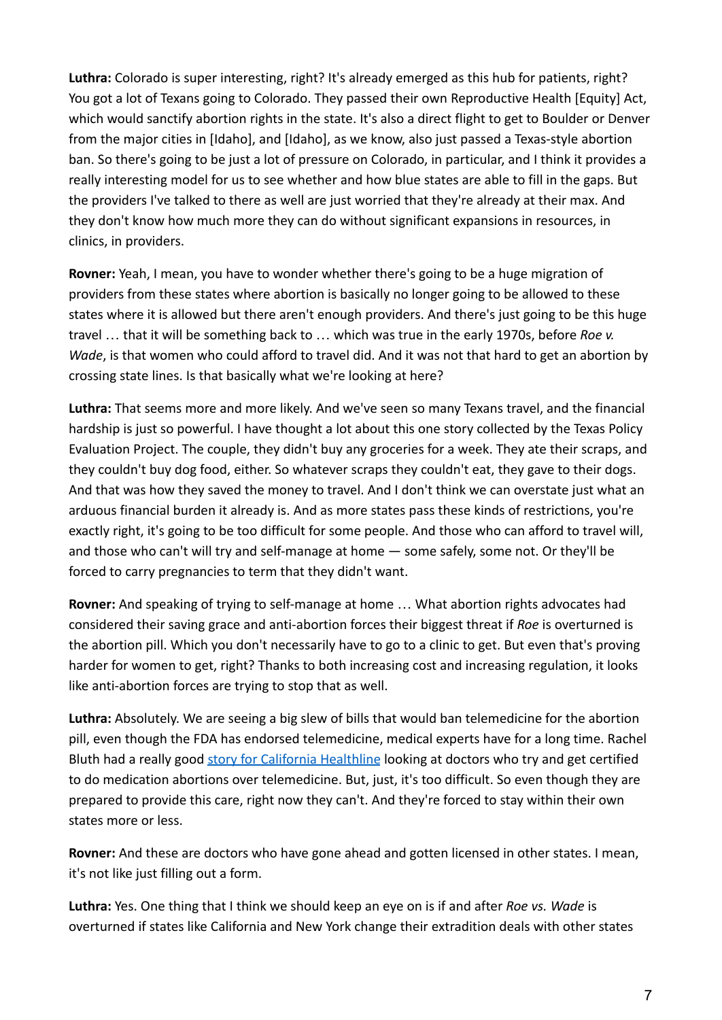**Luthra:** Colorado is super interesting, right? It's already emerged as this hub for patients, right? You got a lot of Texans going to Colorado. They passed their own Reproductive Health [Equity] Act, which would sanctify abortion rights in the state. It's also a direct flight to get to Boulder or Denver from the major cities in [Idaho], and [Idaho], as we know, also just passed a Texas-style abortion ban. So there's going to be just a lot of pressure on Colorado, in particular, and I think it provides a really interesting model for us to see whether and how blue states are able to fill in the gaps. But the providers I've talked to there as well are just worried that they're already at their max. And they don't know how much more they can do without significant expansions in resources, in clinics, in providers.

**Rovner:** Yeah, I mean, you have to wonder whether there's going to be a huge migration of providers from these states where abortion is basically no longer going to be allowed to these states where it is allowed but there aren't enough providers. And there's just going to be this huge travel … that it will be something back to … which was true in the early 1970s, before *Roe v. Wade*, is that women who could afford to travel did. And it was not that hard to get an abortion by crossing state lines. Is that basically what we're looking at here?

**Luthra:** That seems more and more likely. And we've seen so many Texans travel, and the financial hardship is just so powerful. I have thought a lot about this one story collected by the Texas Policy Evaluation Project. The couple, they didn't buy any groceries for a week. They ate their scraps, and they couldn't buy dog food, either. So whatever scraps they couldn't eat, they gave to their dogs. And that was how they saved the money to travel. And I don't think we can overstate just what an arduous financial burden it already is. And as more states pass these kinds of restrictions, you're exactly right, it's going to be too difficult for some people. And those who can afford to travel will, and those who can't will try and self-manage at home — some safely, some not. Or they'll be forced to carry pregnancies to term that they didn't want.

**Rovner:** And speaking of trying to self-manage at home … What abortion rights advocates had considered their saving grace and anti-abortion forces their biggest threat if *Roe* is overturned is the abortion pill. Which you don't necessarily have to go to a clinic to get. But even that's proving harder for women to get, right? Thanks to both increasing cost and increasing regulation, it looks like anti-abortion forces are trying to stop that as well.

**Luthra:** Absolutely. We are seeing a big slew of bills that would ban telemedicine for the abortion pill, even though the FDA has endorsed telemedicine, medical experts have for a long time. Rachel Bluth had a really good [story for California Healthline](https://californiahealthline.org/news/article/doctors-abortion-pills-telemedicine-mail-order-pharmacies-legislation-ban/) looking at doctors who try and get certified to do medication abortions over telemedicine. But, just, it's too difficult. So even though they are prepared to provide this care, right now they can't. And they're forced to stay within their own states more or less.

**Rovner:** And these are doctors who have gone ahead and gotten licensed in other states. I mean, it's not like just filling out a form.

**Luthra:** Yes. One thing that I think we should keep an eye on is if and after *Roe vs. Wade* is overturned if states like California and New York change their extradition deals with other states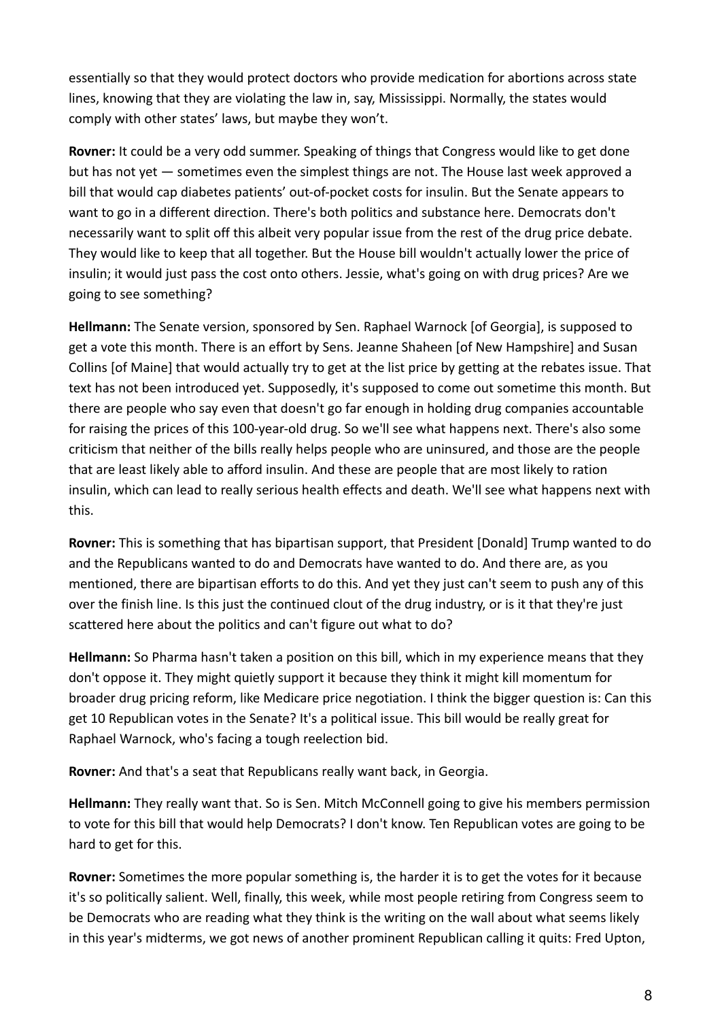essentially so that they would protect doctors who provide medication for abortions across state lines, knowing that they are violating the law in, say, Mississippi. Normally, the states would comply with other states' laws, but maybe they won't.

**Rovner:** It could be a very odd summer. Speaking of things that Congress would like to get done but has not yet — sometimes even the simplest things are not. The House last week approved a bill that would cap diabetes patients' out-of-pocket costs for insulin. But the Senate appears to want to go in a different direction. There's both politics and substance here. Democrats don't necessarily want to split off this albeit very popular issue from the rest of the drug price debate. They would like to keep that all together. But the House bill wouldn't actually lower the price of insulin; it would just pass the cost onto others. Jessie, what's going on with drug prices? Are we going to see something?

**Hellmann:** The Senate version, sponsored by Sen. Raphael Warnock [of Georgia], is supposed to get a vote this month. There is an effort by Sens. Jeanne Shaheen [of New Hampshire] and Susan Collins [of Maine] that would actually try to get at the list price by getting at the rebates issue. That text has not been introduced yet. Supposedly, it's supposed to come out sometime this month. But there are people who say even that doesn't go far enough in holding drug companies accountable for raising the prices of this 100-year-old drug. So we'll see what happens next. There's also some criticism that neither of the bills really helps people who are uninsured, and those are the people that are least likely able to afford insulin. And these are people that are most likely to ration insulin, which can lead to really serious health effects and death. We'll see what happens next with this.

**Rovner:** This is something that has bipartisan support, that President [Donald] Trump wanted to do and the Republicans wanted to do and Democrats have wanted to do. And there are, as you mentioned, there are bipartisan efforts to do this. And yet they just can't seem to push any of this over the finish line. Is this just the continued clout of the drug industry, or is it that they're just scattered here about the politics and can't figure out what to do?

**Hellmann:** So Pharma hasn't taken a position on this bill, which in my experience means that they don't oppose it. They might quietly support it because they think it might kill momentum for broader drug pricing reform, like Medicare price negotiation. I think the bigger question is: Can this get 10 Republican votes in the Senate? It's a political issue. This bill would be really great for Raphael Warnock, who's facing a tough reelection bid.

**Rovner:** And that's a seat that Republicans really want back, in Georgia.

**Hellmann:** They really want that. So is Sen. Mitch McConnell going to give his members permission to vote for this bill that would help Democrats? I don't know. Ten Republican votes are going to be hard to get for this.

**Rovner:** Sometimes the more popular something is, the harder it is to get the votes for it because it's so politically salient. Well, finally, this week, while most people retiring from Congress seem to be Democrats who are reading what they think is the writing on the wall about what seems likely in this year's midterms, we got news of another prominent Republican calling it quits: Fred Upton,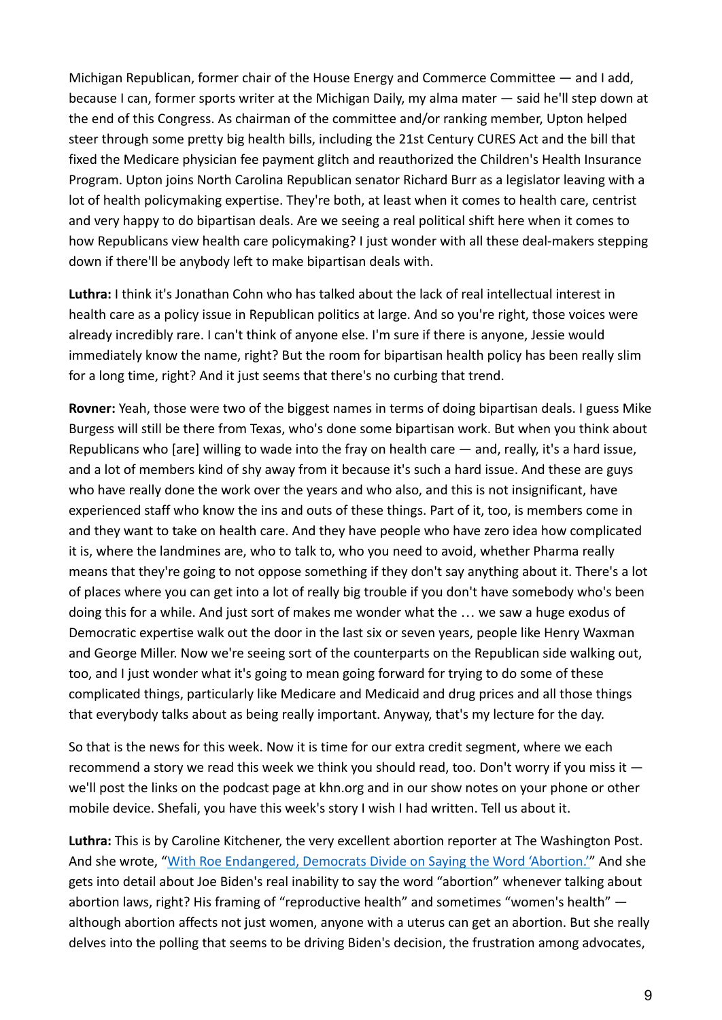Michigan Republican, former chair of the House Energy and Commerce Committee — and I add, because I can, former sports writer at the Michigan Daily, my alma mater — said he'll step down at the end of this Congress. As chairman of the committee and/or ranking member, Upton helped steer through some pretty big health bills, including the 21st Century CURES Act and the bill that fixed the Medicare physician fee payment glitch and reauthorized the Children's Health Insurance Program. Upton joins North Carolina Republican senator Richard Burr as a legislator leaving with a lot of health policymaking expertise. They're both, at least when it comes to health care, centrist and very happy to do bipartisan deals. Are we seeing a real political shift here when it comes to how Republicans view health care policymaking? I just wonder with all these deal-makers stepping down if there'll be anybody left to make bipartisan deals with.

**Luthra:** I think it's Jonathan Cohn who has talked about the lack of real intellectual interest in health care as a policy issue in Republican politics at large. And so you're right, those voices were already incredibly rare. I can't think of anyone else. I'm sure if there is anyone, Jessie would immediately know the name, right? But the room for bipartisan health policy has been really slim for a long time, right? And it just seems that there's no curbing that trend.

**Rovner:** Yeah, those were two of the biggest names in terms of doing bipartisan deals. I guess Mike Burgess will still be there from Texas, who's done some bipartisan work. But when you think about Republicans who [are] willing to wade into the fray on health care — and, really, it's a hard issue, and a lot of members kind of shy away from it because it's such a hard issue. And these are guys who have really done the work over the years and who also, and this is not insignificant, have experienced staff who know the ins and outs of these things. Part of it, too, is members come in and they want to take on health care. And they have people who have zero idea how complicated it is, where the landmines are, who to talk to, who you need to avoid, whether Pharma really means that they're going to not oppose something if they don't say anything about it. There's a lot of places where you can get into a lot of really big trouble if you don't have somebody who's been doing this for a while. And just sort of makes me wonder what the … we saw a huge exodus of Democratic expertise walk out the door in the last six or seven years, people like Henry Waxman and George Miller. Now we're seeing sort of the counterparts on the Republican side walking out, too, and I just wonder what it's going to mean going forward for trying to do some of these complicated things, particularly like Medicare and Medicaid and drug prices and all those things that everybody talks about as being really important. Anyway, that's my lecture for the day.

So that is the news for this week. Now it is time for our extra credit segment, where we each recommend a story we read this week we think you should read, too. Don't worry if you miss it we'll post the links on the podcast page at khn.org and in our show notes on your phone or other mobile device. Shefali, you have this week's story I wish I had written. Tell us about it.

**Luthra:** This is by Caroline Kitchener, the very excellent abortion reporter at The Washington Post. And she wrote, ["With Roe Endangered, Democrats Divide](https://www.washingtonpost.com/politics/2022/04/02/abortion-rhetoric-roe/) on Saying the Word 'Abortion.'" And she gets into detail about Joe Biden's real inability to say the word "abortion" whenever talking about abortion laws, right? His framing of "reproductive health" and sometimes "women's health" although abortion affects not just women, anyone with a uterus can get an abortion. But she really delves into the polling that seems to be driving Biden's decision, the frustration among advocates,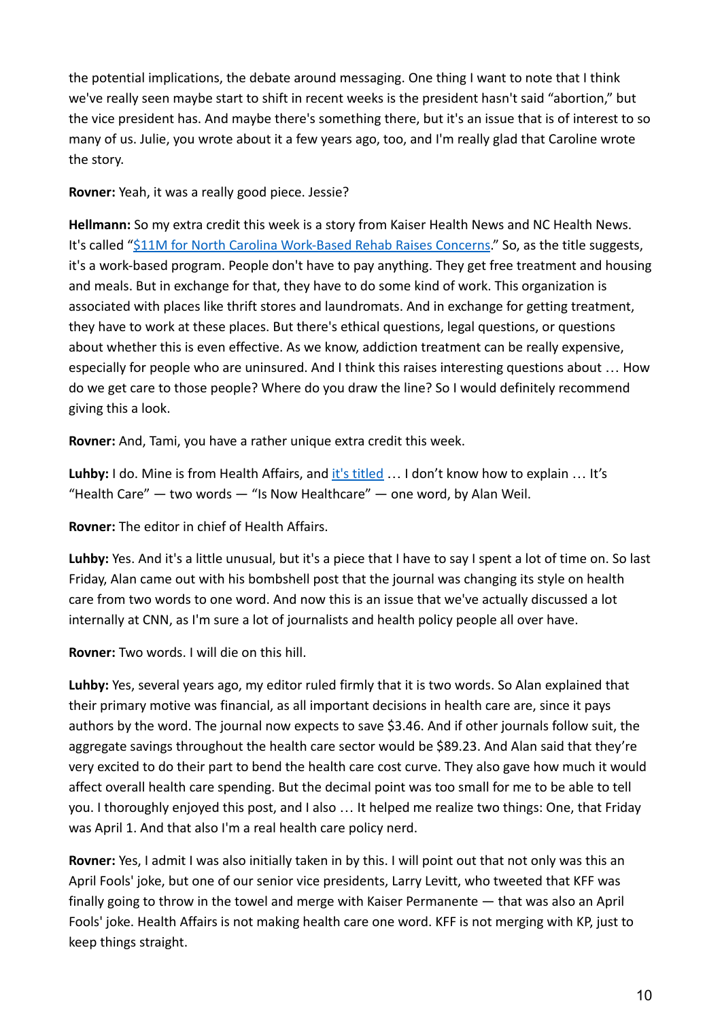the potential implications, the debate around messaging. One thing I want to note that I think we've really seen maybe start to shift in recent weeks is the president hasn't said "abortion," but the vice president has. And maybe there's something there, but it's an issue that is of interest to so many of us. Julie, you wrote about it a few years ago, too, and I'm really glad that Caroline wrote the story.

**Rovner:** Yeah, it was a really good piece. Jessie?

**Hellmann:** So my extra credit this week is a story from Kaiser Health News and NC Health News. It's called ["\\$11M for North Carolina Work-Based Rehab](https://khn.org/news/article/trosa-north-carolina-drug-opioid-work-rehab-funding-concerns/) Raises Concerns." So, as the title suggests, it's a work-based program. People don't have to pay anything. They get free treatment and housing and meals. But in exchange for that, they have to do some kind of work. This organization is associated with places like thrift stores and laundromats. And in exchange for getting treatment, they have to work at these places. But there's ethical questions, legal questions, or questions about whether this is even effective. As we know, addiction treatment can be really expensive, especially for people who are uninsured. And I think this raises interesting questions about … How do we get care to those people? Where do you draw the line? So I would definitely recommend giving this a look.

**Rovner:** And, Tami, you have a rather unique extra credit this week.

Luhby: I do. Mine is from Health Affairs, and it's [titled](https://www.healthaffairs.org/do/10.1377/forefront.20220330.958914) ... I don't know how to explain ... It's "Health Care"  $-$  two words  $-$  "Is Now Healthcare"  $-$  one word, by Alan Weil.

**Rovner:** The editor in chief of Health Affairs.

**Luhby:** Yes. And it's a little unusual, but it's a piece that I have to say I spent a lot of time on. So last Friday, Alan came out with his bombshell post that the journal was changing its style on health care from two words to one word. And now this is an issue that we've actually discussed a lot internally at CNN, as I'm sure a lot of journalists and health policy people all over have.

**Rovner:** Two words. I will die on this hill.

**Luhby:** Yes, several years ago, my editor ruled firmly that it is two words. So Alan explained that their primary motive was financial, as all important decisions in health care are, since it pays authors by the word. The journal now expects to save \$3.46. And if other journals follow suit, the aggregate savings throughout the health care sector would be \$89.23. And Alan said that they're very excited to do their part to bend the health care cost curve. They also gave how much it would affect overall health care spending. But the decimal point was too small for me to be able to tell you. I thoroughly enjoyed this post, and I also … It helped me realize two things: One, that Friday was April 1. And that also I'm a real health care policy nerd.

**Rovner:** Yes, I admit I was also initially taken in by this. I will point out that not only was this an April Fools' joke, but one of our senior vice presidents, Larry Levitt, who tweeted that KFF was finally going to throw in the towel and merge with Kaiser Permanente — that was also an April Fools' joke. Health Affairs is not making health care one word. KFF is not merging with KP, just to keep things straight.